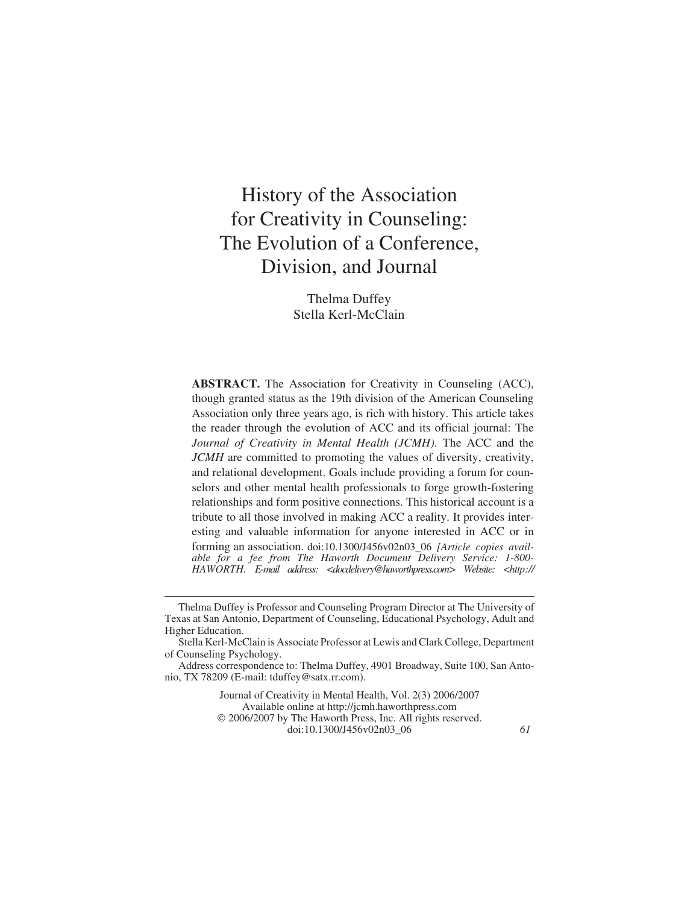# History of the Association for Creativity in Counseling: The Evolution of a Conference, Division, and Journal

Thelma Duffey Stella Kerl-McClain

**ABSTRACT.** The Association for Creativity in Counseling (ACC), though granted status as the 19th division of the American Counseling Association only three years ago, is rich with history. This article takes the reader through the evolution of ACC and its official journal: The *Journal of Creativity in Mental Health (JCMH)*. The ACC and the *JCMH* are committed to promoting the values of diversity, creativity, and relational development. Goals include providing a forum for counselors and other mental health professionals to forge growth-fostering relationships and form positive connections. This historical account is a tribute to all those involved in making ACC a reality. It provides interesting and valuable information for anyone interested in ACC or in forming an association. doi:10.1300/J456v02n03\_06 *[Article copies available for a fee from The Haworth Document Delivery Service: 1-800- HAWORTH. E-mail address: [<docdelivery@haworthpress.com>](mailto:docdelivery@haworthpress.com) Website: [<http://](http://ThelmaDuffeyisProfessorandCounselingProgramDirectoratTheUniversityofTexasatSanAntonio)*

Journal of Creativity in Mental Health, Vol. 2(3) 2006/2007 Available online at <http://jcmh.haworthpress.com> 2006/2007 by The Haworth Press, Inc. All rights reserved. doi:10.1300/J456v02n03\_06 *61*

[Thelma Duffey is Professor and Counseling Program Director at The University of](http://ThelmaDuffeyisProfessorandCounselingProgramDirectoratTheUniversityofTexasatSanAntonio) [Texas at San Antonio,](http://ThelmaDuffeyisProfessorandCounselingProgramDirectoratTheUniversityofTexasatSanAntonio) Department of Counseling, Educational Psychology, Adult and Higher Education.

Stella Kerl-McClain is Associate Professor at Lewis and Clark College, Department of Counseling Psychology.

Address correspondence to: Thelma Duffey, 4901 Broadway, Suite 100, San Antonio, TX 78209 (E-mail: [tduffey@satx.rr.com\).](mailto:tduffey@satx.rr.com)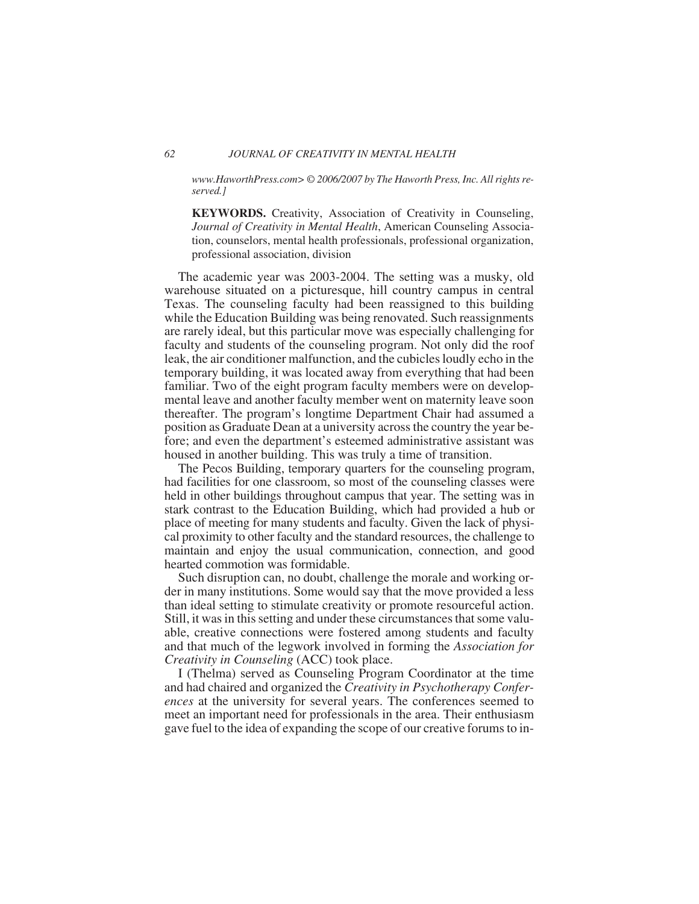#### *62 JOURNAL OF CREATIVITY IN MENTAL HEALTH*

*[www.HaworthPress.com>](http://www.HaworthPress.com) © 2006/2007 by The Haworth Press, Inc. All rights reserved.]*

**KEYWORDS.** Creativity, Association of Creativity in Counseling, *Journal of Creativity in Mental Health*, American Counseling Association, counselors, mental health professionals, professional organization, professional association, division

The academic year was 2003-2004. The setting was a musky, old warehouse situated on a picturesque, hill country campus in central Texas. The counseling faculty had been reassigned to this building while the Education Building was being renovated. Such reassignments are rarely ideal, but this particular move was especially challenging for faculty and students of the counseling program. Not only did the roof leak, the air conditioner malfunction, and the cubicles loudly echo in the temporary building, it was located away from everything that had been familiar. Two of the eight program faculty members were on developmental leave and another faculty member went on maternity leave soon thereafter. The program's longtime Department Chair had assumed a position as Graduate Dean at a university across the country the year before; and even the department's esteemed administrative assistant was housed in another building. This was truly a time of transition.

The Pecos Building, temporary quarters for the counseling program, had facilities for one classroom, so most of the counseling classes were held in other buildings throughout campus that year. The setting was in stark contrast to the Education Building, which had provided a hub or place of meeting for many students and faculty. Given the lack of physical proximity to other faculty and the standard resources, the challenge to maintain and enjoy the usual communication, connection, and good hearted commotion was formidable.

Such disruption can, no doubt, challenge the morale and working order in many institutions. Some would say that the move provided a less than ideal setting to stimulate creativity or promote resourceful action. Still, it was in this setting and under these circumstances that some valuable, creative connections were fostered among students and faculty and that much of the legwork involved in forming the *Association for Creativity in Counseling* (ACC) took place.

I (Thelma) served as Counseling Program Coordinator at the time and had chaired and organized the *Creativity in Psychotherapy Conferences* at the university for several years. The conferences seemed to meet an important need for professionals in the area. Their enthusiasm gave fuel to the idea of expanding the scope of our creative forums to in-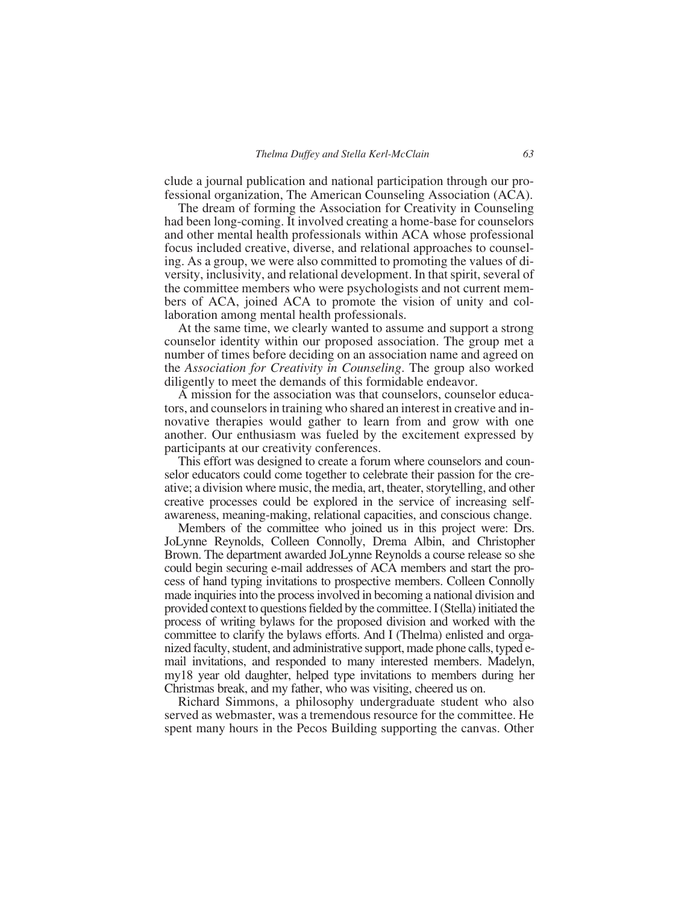clude a journal publication and national participation through our professional organization, The American Counseling Association (ACA).

The dream of forming the Association for Creativity in Counseling had been long-coming. It involved creating a home-base for counselors and other mental health professionals within ACA whose professional focus included creative, diverse, and relational approaches to counseling. As a group, we were also committed to promoting the values of diversity, inclusivity, and relational development. In that spirit, several of the committee members who were psychologists and not current members of ACA, joined ACA to promote the vision of unity and collaboration among mental health professionals.

At the same time, we clearly wanted to assume and support a strong counselor identity within our proposed association. The group met a number of times before deciding on an association name and agreed on the *Association for Creativity in Counseling*. The group also worked diligently to meet the demands of this formidable endeavor.

A mission for the association was that counselors, counselor educators, and counselors in training who shared an interest in creative and innovative therapies would gather to learn from and grow with one another. Our enthusiasm was fueled by the excitement expressed by participants at our creativity conferences.

This effort was designed to create a forum where counselors and counselor educators could come together to celebrate their passion for the creative; a division where music, the media, art, theater, storytelling, and other creative processes could be explored in the service of increasing selfawareness, meaning-making, relational capacities, and conscious change.

Members of the committee who joined us in this project were: Drs. JoLynne Reynolds, Colleen Connolly, Drema Albin, and Christopher Brown. The department awarded JoLynne Reynolds a course release so she could begin securing e-mail addresses of ACA members and start the process of hand typing invitations to prospective members. Colleen Connolly made inquiries into the process involved in becoming a national division and provided context to questions fielded by the committee. I (Stella) initiated the process of writing bylaws for the proposed division and worked with the committee to clarify the bylaws efforts. And I (Thelma) enlisted and organized faculty, student, and administrative support, made phone calls, typed email invitations, and responded to many interested members. Madelyn, my18 year old daughter, helped type invitations to members during her Christmas break, and my father, who was visiting, cheered us on.

Richard Simmons, a philosophy undergraduate student who also served as webmaster, was a tremendous resource for the committee. He spent many hours in the Pecos Building supporting the canvas. Other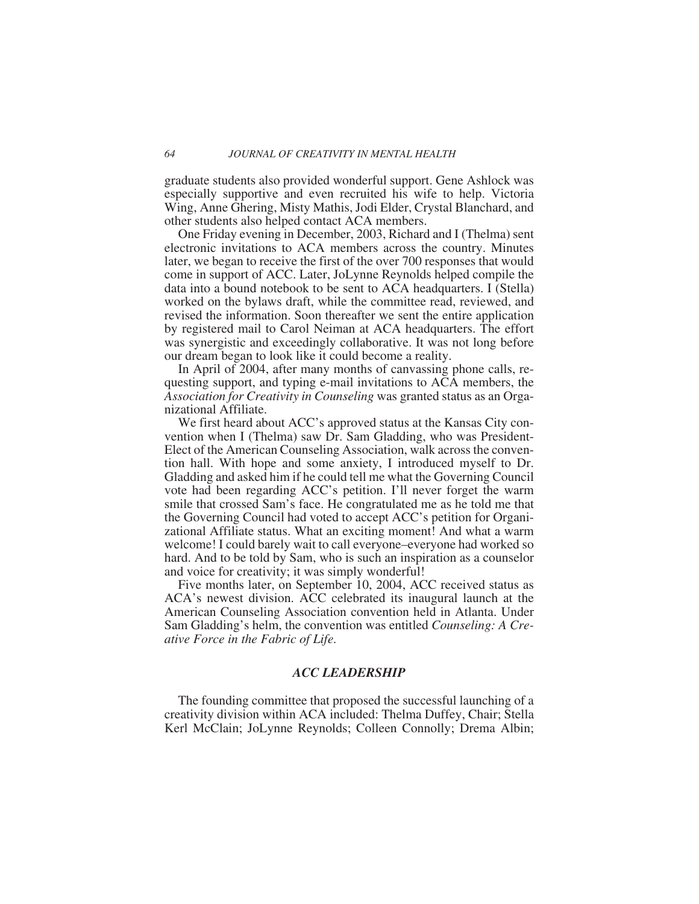graduate students also provided wonderful support. Gene Ashlock was especially supportive and even recruited his wife to help. Victoria Wing, Anne Ghering, Misty Mathis, Jodi Elder, Crystal Blanchard, and other students also helped contact ACA members.

One Friday evening in December, 2003, Richard and I (Thelma) sent electronic invitations to ACA members across the country. Minutes later, we began to receive the first of the over 700 responses that would come in support of ACC. Later, JoLynne Reynolds helped compile the data into a bound notebook to be sent to ACA headquarters. I (Stella) worked on the bylaws draft, while the committee read, reviewed, and revised the information. Soon thereafter we sent the entire application by registered mail to Carol Neiman at ACA headquarters. The effort was synergistic and exceedingly collaborative. It was not long before our dream began to look like it could become a reality.

In April of 2004, after many months of canvassing phone calls, requesting support, and typing e-mail invitations to ACA members, the *Association for Creativity in Counseling* was granted status as an Organizational Affiliate.

We first heard about ACC's approved status at the Kansas City convention when I (Thelma) saw Dr. Sam Gladding, who was President-Elect of the American Counseling Association, walk across the convention hall. With hope and some anxiety, I introduced myself to Dr. Gladding and asked him if he could tell me what the Governing Council vote had been regarding ACC's petition. I'll never forget the warm smile that crossed Sam's face. He congratulated me as he told me that the Governing Council had voted to accept ACC's petition for Organizational Affiliate status. What an exciting moment! And what a warm welcome! I could barely wait to call everyone–everyone had worked so hard. And to be told by Sam, who is such an inspiration as a counselor and voice for creativity; it was simply wonderful!

Five months later, on September 10, 2004, ACC received status as ACA's newest division. ACC celebrated its inaugural launch at the American Counseling Association convention held in Atlanta. Under Sam Gladding's helm, the convention was entitled *Counseling: A Creative Force in the Fabric of Life*.

# *ACC LEADERSHIP*

The founding committee that proposed the successful launching of a creativity division within ACA included: Thelma Duffey, Chair; Stella Kerl McClain; JoLynne Reynolds; Colleen Connolly; Drema Albin;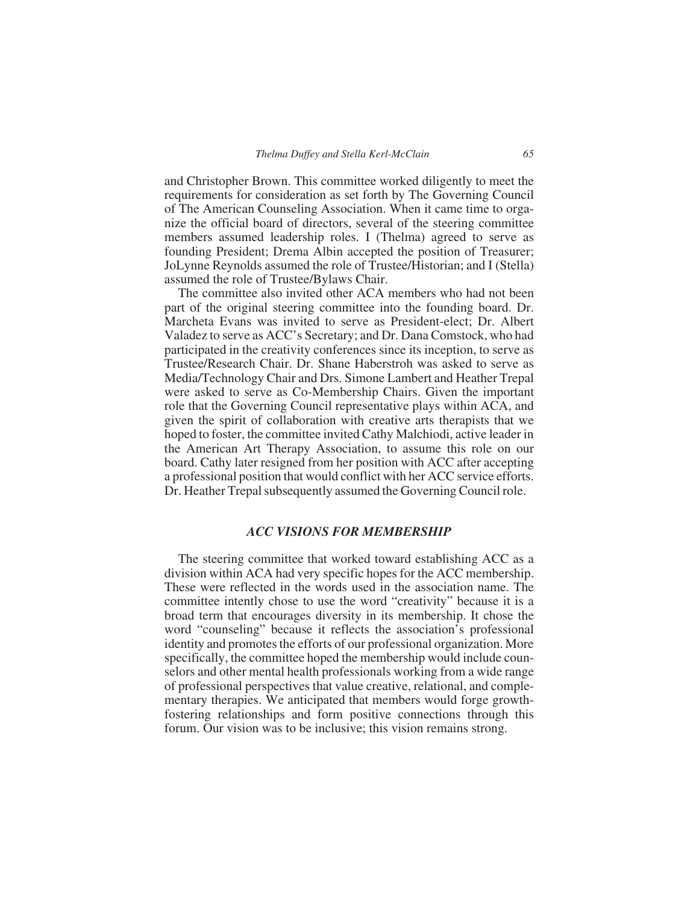and Christopher Brown. This committee worked diligently to meet the requirements for consideration as set forth by The Governing Council of The American Counseling Association. When it came time to organize the official board of directors, several of the steering committee members assumed leadership roles. I (Thelma) agreed to serve as founding President; Drema Albin accepted the position of Treasurer; JoLynne Reynolds assumed the role of Trustee/Historian; and I (Stella) assumed the role of Trustee/Bylaws Chair.

The committee also invited other ACA members who had not been part of the original steering committee into the founding board. Dr. Marcheta Evans was invited to serve as President-elect; Dr. Albert Valadez to serve as ACC's Secretary; and Dr. Dana Comstock, who had participated in the creativity conferences since its inception, to serve as Trustee/Research Chair. Dr. Shane Haberstroh was asked to serve as Media/Technology Chair and Drs. Simone Lambert and Heather Trepal were asked to serve as Co-Membership Chairs. Given the important role that the Governing Council representative plays within ACA, and given the spirit of collaboration with creative arts therapists that we hoped to foster, the committee invited Cathy Malchiodi, active leader in the American Art Therapy Association, to assume this role on our board. Cathy later resigned from her position with ACC after accepting a professional position that would conflict with her ACC service efforts. Dr. Heather Trepal subsequently assumed the Governing Council role.

# *ACC VISIONS FOR MEMBERSHIP*

The steering committee that worked toward establishing ACC as a division within ACA had very specific hopes for the ACC membership. These were reflected in the words used in the association name. The committee intently chose to use the word "creativity" because it is a broad term that encourages diversity in its membership. It chose the word "counseling" because it reflects the association's professional identity and promotes the efforts of our professional organization. More specifically, the committee hoped the membership would include counselors and other mental health professionals working from a wide range of professional perspectives that value creative, relational, and complementary therapies. We anticipated that members would forge growthfostering relationships and form positive connections through this forum. Our vision was to be inclusive; this vision remains strong.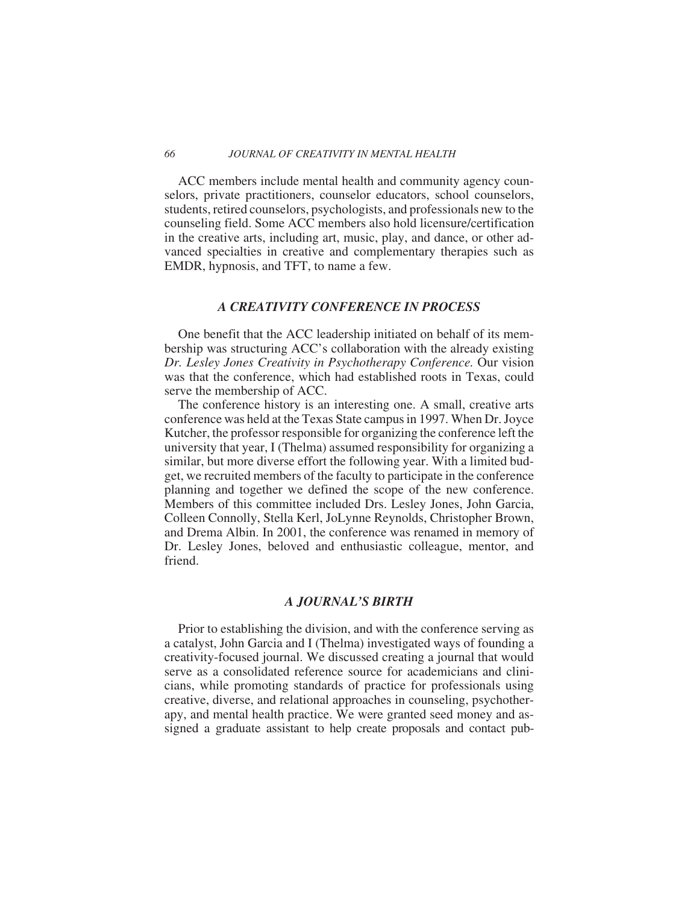#### *66 JOURNAL OF CREATIVITY IN MENTAL HEALTH*

ACC members include mental health and community agency counselors, private practitioners, counselor educators, school counselors, students, retired counselors, psychologists, and professionals new to the counseling field. Some ACC members also hold licensure/certification in the creative arts, including art, music, play, and dance, or other advanced specialties in creative and complementary therapies such as EMDR, hypnosis, and TFT, to name a few.

## *A CREATIVITY CONFERENCE IN PROCESS*

One benefit that the ACC leadership initiated on behalf of its membership was structuring ACC's collaboration with the already existing *Dr. Lesley Jones Creativity in Psychotherapy Conference.* Our vision was that the conference, which had established roots in Texas, could serve the membership of ACC.

The conference history is an interesting one. A small, creative arts conference was held at the Texas State campus in 1997. When Dr. Joyce Kutcher, the professor responsible for organizing the conference left the university that year, I (Thelma) assumed responsibility for organizing a similar, but more diverse effort the following year. With a limited budget, we recruited members of the faculty to participate in the conference planning and together we defined the scope of the new conference. Members of this committee included Drs. Lesley Jones, John Garcia, Colleen Connolly, Stella Kerl, JoLynne Reynolds, Christopher Brown, and Drema Albin. In 2001, the conference was renamed in memory of Dr. Lesley Jones, beloved and enthusiastic colleague, mentor, and friend.

## *A JOURNAL'S BIRTH*

Prior to establishing the division, and with the conference serving as a catalyst, John Garcia and I (Thelma) investigated ways of founding a creativity-focused journal. We discussed creating a journal that would serve as a consolidated reference source for academicians and clinicians, while promoting standards of practice for professionals using creative, diverse, and relational approaches in counseling, psychotherapy, and mental health practice. We were granted seed money and assigned a graduate assistant to help create proposals and contact pub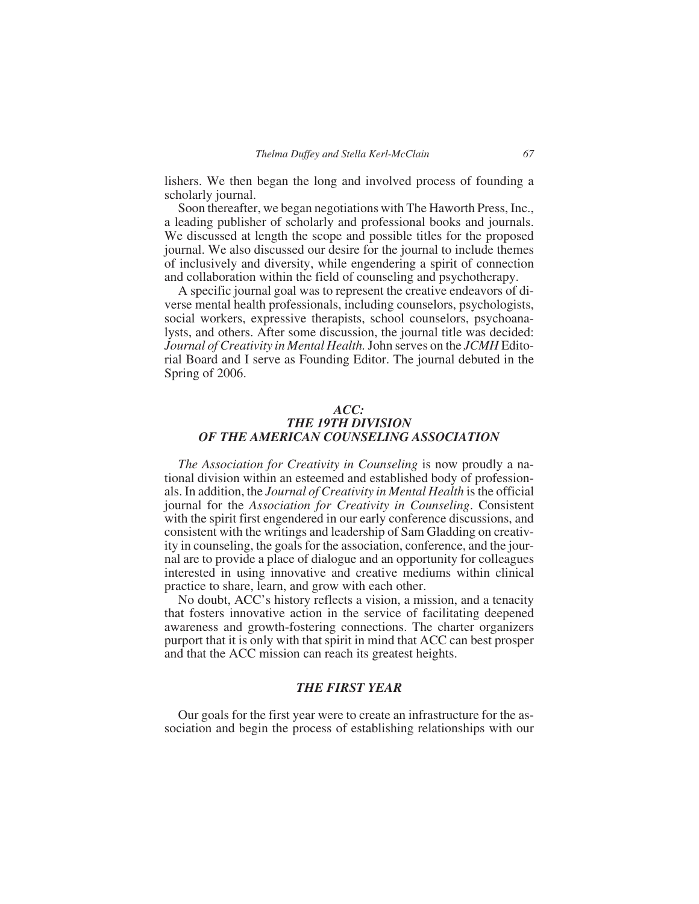lishers. We then began the long and involved process of founding a scholarly journal.

Soon thereafter, we began negotiations with The Haworth Press, Inc., a leading publisher of scholarly and professional books and journals. We discussed at length the scope and possible titles for the proposed journal. We also discussed our desire for the journal to include themes of inclusively and diversity, while engendering a spirit of connection and collaboration within the field of counseling and psychotherapy.

A specific journal goal was to represent the creative endeavors of diverse mental health professionals, including counselors, psychologists, social workers, expressive therapists, school counselors, psychoanalysts, and others. After some discussion, the journal title was decided: *Journal of Creativity in Mental Health.*John serves on the *JCMH* Editorial Board and I serve as Founding Editor. The journal debuted in the Spring of 2006.

# *ACC: THE 19TH DIVISION OF THE AMERICAN COUNSELING ASSOCIATION*

*The Association for Creativity in Counseling* is now proudly a national division within an esteemed and established body of professionals. In addition, the *Journal of Creativity in Mental Health* is the official journal for the *Association for Creativity in Counseling*. Consistent with the spirit first engendered in our early conference discussions, and consistent with the writings and leadership of Sam Gladding on creativity in counseling, the goals for the association, conference, and the journal are to provide a place of dialogue and an opportunity for colleagues interested in using innovative and creative mediums within clinical practice to share, learn, and grow with each other.

No doubt, ACC's history reflects a vision, a mission, and a tenacity that fosters innovative action in the service of facilitating deepened awareness and growth-fostering connections. The charter organizers purport that it is only with that spirit in mind that ACC can best prosper and that the ACC mission can reach its greatest heights.

### *THE FIRST YEAR*

Our goals for the first year were to create an infrastructure for the association and begin the process of establishing relationships with our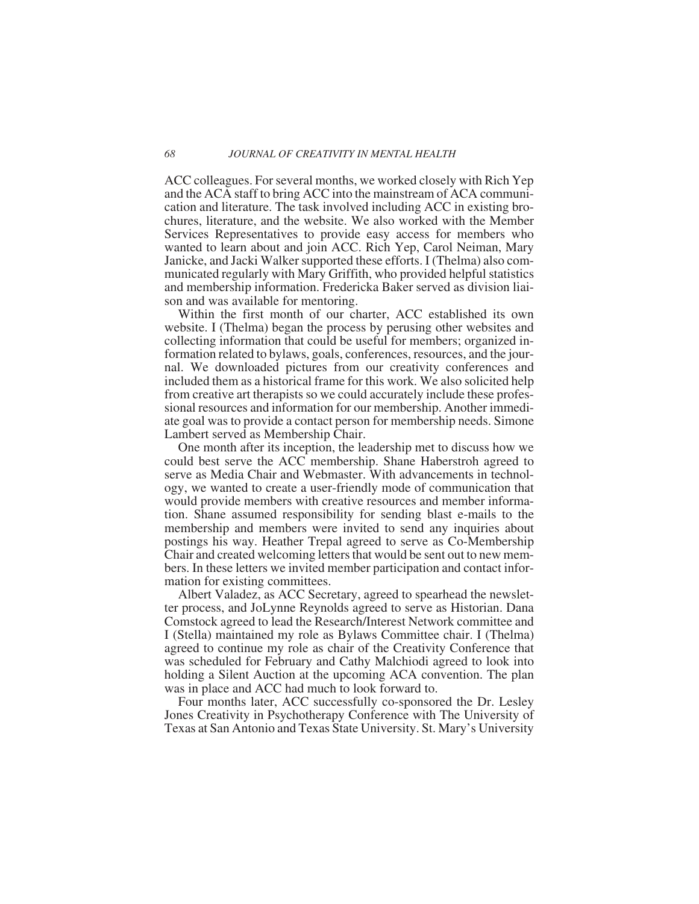ACC colleagues. For several months, we worked closely with Rich Yep and the ACA staff to bring ACC into the mainstream of ACA communication and literature. The task involved including ACC in existing brochures, literature, and the website. We also worked with the Member Services Representatives to provide easy access for members who wanted to learn about and join ACC. Rich Yep, Carol Neiman, Mary Janicke, and Jacki Walker supported these efforts. I (Thelma) also communicated regularly with Mary Griffith, who provided helpful statistics and membership information. Fredericka Baker served as division liaison and was available for mentoring.

Within the first month of our charter, ACC established its own website. I (Thelma) began the process by perusing other websites and collecting information that could be useful for members; organized information related to bylaws, goals, conferences, resources, and the journal. We downloaded pictures from our creativity conferences and included them as a historical frame for this work. We also solicited help from creative art therapists so we could accurately include these professional resources and information for our membership. Another immediate goal was to provide a contact person for membership needs. Simone Lambert served as Membership Chair.

One month after its inception, the leadership met to discuss how we could best serve the ACC membership. Shane Haberstroh agreed to serve as Media Chair and Webmaster. With advancements in technology, we wanted to create a user-friendly mode of communication that would provide members with creative resources and member information. Shane assumed responsibility for sending blast e-mails to the membership and members were invited to send any inquiries about postings his way. Heather Trepal agreed to serve as Co-Membership Chair and created welcoming letters that would be sent out to new members. In these letters we invited member participation and contact information for existing committees.

Albert Valadez, as ACC Secretary, agreed to spearhead the newsletter process, and JoLynne Reynolds agreed to serve as Historian. Dana Comstock agreed to lead the Research/Interest Network committee and I (Stella) maintained my role as Bylaws Committee chair. I (Thelma) agreed to continue my role as chair of the Creativity Conference that was scheduled for February and Cathy Malchiodi agreed to look into holding a Silent Auction at the upcoming ACA convention. The plan was in place and ACC had much to look forward to.

Four months later, ACC successfully co-sponsored the Dr. Lesley Jones Creativity in Psychotherapy Conference with The University of Texas at San Antonio and Texas State University. St. Mary's University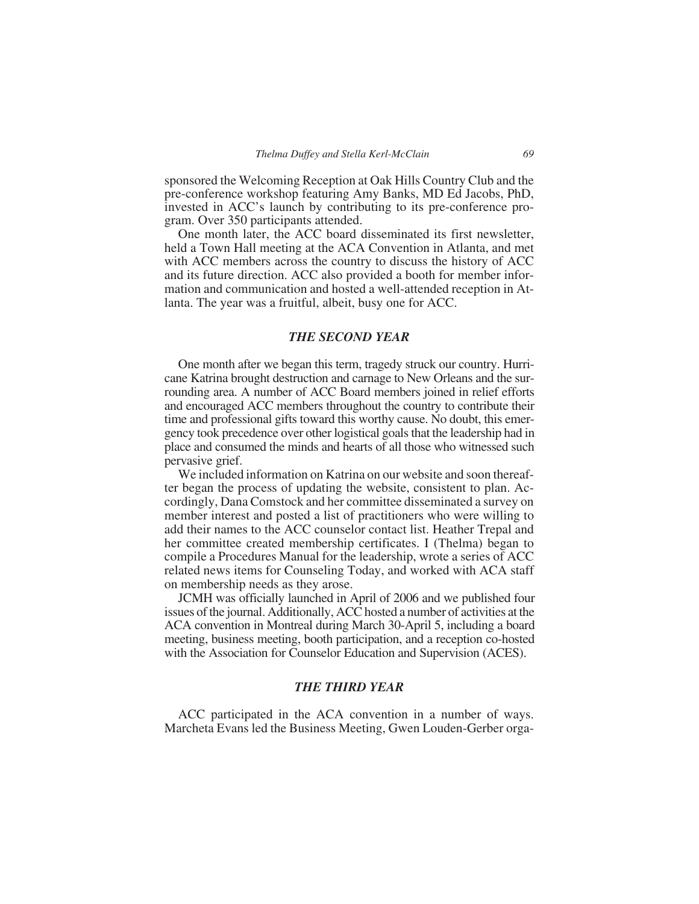sponsored the Welcoming Reception at Oak Hills Country Club and the pre-conference workshop featuring Amy Banks, MD Ed Jacobs, PhD, invested in ACC's launch by contributing to its pre-conference program. Over 350 participants attended.

One month later, the ACC board disseminated its first newsletter, held a Town Hall meeting at the ACA Convention in Atlanta, and met with ACC members across the country to discuss the history of ACC and its future direction. ACC also provided a booth for member information and communication and hosted a well-attended reception in Atlanta. The year was a fruitful, albeit, busy one for ACC.

#### *THE SECOND YEAR*

One month after we began this term, tragedy struck our country. Hurricane Katrina brought destruction and carnage to New Orleans and the surrounding area. A number of ACC Board members joined in relief efforts and encouraged ACC members throughout the country to contribute their time and professional gifts toward this worthy cause. No doubt, this emergency took precedence over other logistical goals that the leadership had in place and consumed the minds and hearts of all those who witnessed such pervasive grief.

We included information on Katrina on our website and soon thereafter began the process of updating the website, consistent to plan. Accordingly, Dana Comstock and her committee disseminated a survey on member interest and posted a list of practitioners who were willing to add their names to the ACC counselor contact list. Heather Trepal and her committee created membership certificates. I (Thelma) began to compile a Procedures Manual for the leadership, wrote a series of ACC related news items for Counseling Today, and worked with ACA staff on membership needs as they arose.

JCMH was officially launched in April of 2006 and we published four issues of the journal. Additionally, ACC hosted a number of activities at the ACA convention in Montreal during March 30-April 5, including a board meeting, business meeting, booth participation, and a reception co-hosted with the Association for Counselor Education and Supervision (ACES).

## *THE THIRD YEAR*

ACC participated in the ACA convention in a number of ways. Marcheta Evans led the Business Meeting, Gwen Louden-Gerber orga-